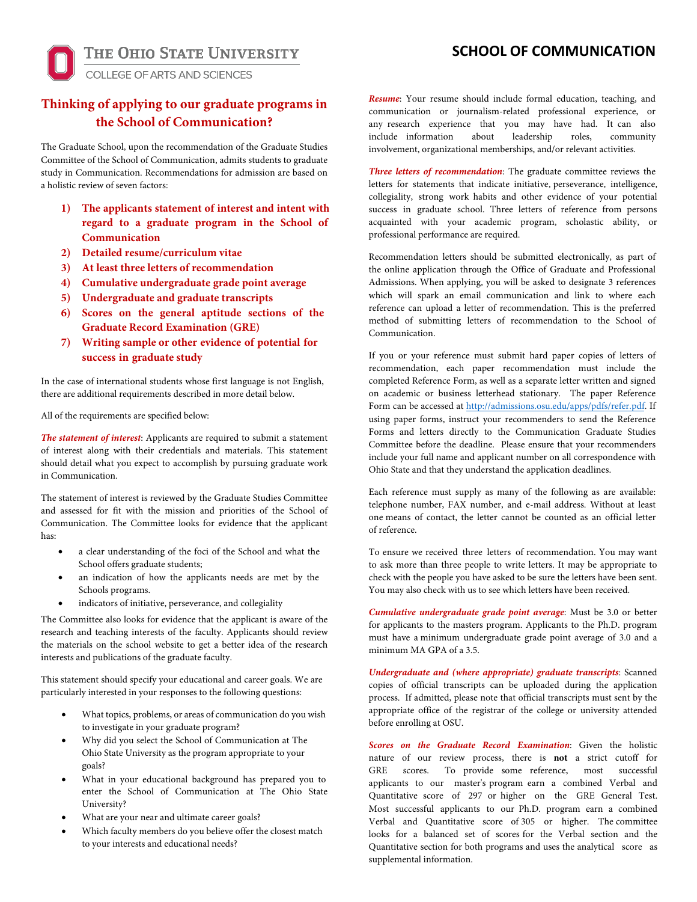**SCHOOL OF COMMUNICATION** 

THE OHIO STATE UNIVERSITY

# **COLLEGE OF ARTS AND SCIENCES**

# **Thinking of applying to our graduate programs in the School of Communication?**

The Graduate School, upon the recommendation of the Graduate Studies Committee of the School of Communication, admits students to graduate study in Communication. Recommendations for admission are based on a holistic review of seven factors:

- **1) The applicants statement of interest and intent with regard to a graduate program in the School of Communication**
- **2) Detailed resume/curriculum vitae**
- **3) At least three letters of recommendation**
- **4) Cumulative undergraduate grade point average**
- **5) Undergraduate and graduate transcripts**
- **6) Scores on the general aptitude sections of the Graduate Record Examination (GRE)**
- **7) Writing sample or other evidence of potential for success in graduate study**

In the case of international students whose first language is not English, there are additional requirements described in more detail below.

All of the requirements are specified below:

*The statement of interest*: Applicants are required to submit a statement of interest along with their credentials and materials. This statement should detail what you expect to accomplish by pursuing graduate work in Communication.

The statement of interest is reviewed by the Graduate Studies Committee and assessed for fit with the mission and priorities of the School of Communication. The Committee looks for evidence that the applicant has:

- a clear understanding of the foci of the School and what the School offers graduate students;
- an indication of how the applicants needs are met by the Schools programs.
- indicators of initiative, perseverance, and collegiality

The Committee also looks for evidence that the applicant is aware of the research and teaching interests of the faculty. Applicants should review the materials on the school website to get a better idea of the research interests and publications of the graduate faculty.

This statement should specify your educational and career goals. We are particularly interested in your responses to the following questions:

- What topics, problems, or areas of communication do you wish to investigate in your graduate program?
- Why did you select the School of Communication at The Ohio State University as the program appropriate to your goals?
- What in your educational background has prepared you to enter the School of Communication at The Ohio State University?
- What are your near and ultimate career goals?
- Which faculty members do you believe offer the closest match to your interests and educational needs?

*Resume*: Your resume should include formal education, teaching, and communication or journalism-related professional experience, or any research experience that you may have had. It can also include information about leadership roles, community involvement, organizational memberships, and/or relevant activities.

*Three letters of recommendation*: The graduate committee reviews the letters for statements that indicate initiative, perseverance, intelligence, collegiality, strong work habits and other evidence of your potential success in graduate school. Three letters of reference from persons acquainted with your academic program, scholastic ability, or professional performance are required.

Recommendation letters should be submitted electronically, as part of the online application through the Office of Graduate and Professional Admissions. When applying, you will be asked to designate 3 references which will spark an email communication and link to where each reference can upload a letter of recommendation. This is the preferred method of submitting letters of recommendation to the School of Communication.

If you or your reference must submit hard paper copies of letters of recommendation, each paper recommendation must include the completed Reference Form, as well as a separate letter written and signed on academic or business letterhead stationary. The paper Reference Form can be accessed a[t http://admissions.osu.edu/apps/pdfs/refer.pdf.](http://admissions.osu.edu/apps/pdfs/refer.pdf) If using paper forms, instruct your recommenders to send the Reference Forms and letters directly to the Communication Graduate Studies Committee before the deadline. Please ensure that your recommenders include your full name and applicant number on all correspondence with Ohio State and that they understand the application deadlines.

Each reference must supply as many of the following as are available: telephone number, FAX number, and e-mail address. Without at least one means of contact, the letter cannot be counted as an official letter of reference.

To ensure we received three letters of recommendation. You may want to ask more than three people to write letters. It may be appropriate to check with the people you have asked to be sure the letters have been sent. You may also check with us to see which letters have been received.

*Cumulative undergraduate grade point average*: Must be 3.0 or better for applicants to the masters program. Applicants to the Ph.D. program must have a minimum undergraduate grade point average of 3.0 and a minimum MA GPA of a 3.5.

*Undergraduate and (where appropriate) graduate transcripts*: Scanned copies of official transcripts can be uploaded during the application process. If admitted, please note that official transcripts must sent by the appropriate office of the registrar of the college or university attended before enrolling at OSU.

*Scores on the Graduate Record Examination*: Given the holistic nature of our review process, there is **not** a strict cutoff for GRE scores. To provide some reference, most successful applicants to our master's program earn a combined Verbal and Quantitative score of 297 or higher on the GRE General Test. Most successful applicants to our Ph.D. program earn a combined Verbal and Quantitative score of 305 or higher. The committee looks for a balanced set of scores for the Verbal section and the Quantitative section for both programs and uses the analytical score as supplemental information.